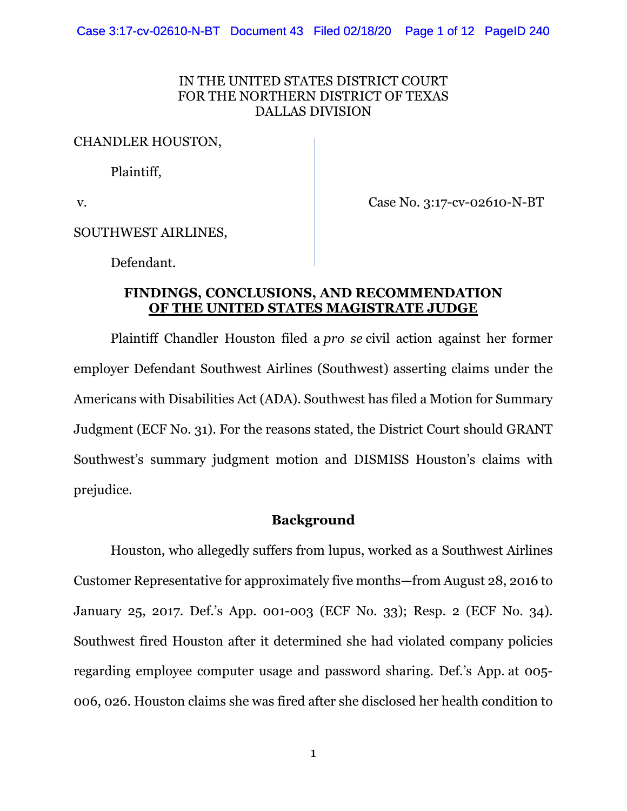## IN THE UNITED STATES DISTRICT COURT FOR THE NORTHERN DISTRICT OF TEXAS DALLAS DIVISION

CHANDLER HOUSTON,

Plaintiff,

v. Case No. 3:17-cv-02610-N-BT

SOUTHWEST AIRLINES,

Defendant.

## **FINDINGS, CONCLUSIONS, AND RECOMMENDATION OF THE UNITED STATES MAGISTRATE JUDGE**

Plaintiff Chandler Houston filed a *pro se* civil action against her former employer Defendant Southwest Airlines (Southwest) asserting claims under the Americans with Disabilities Act (ADA). Southwest has filed a Motion for Summary Judgment (ECF No. 31). For the reasons stated, the District Court should GRANT Southwest's summary judgment motion and DISMISS Houston's claims with prejudice.

# **Background**

Houston, who allegedly suffers from lupus, worked as a Southwest Airlines Customer Representative for approximately five months—from August 28, 2016 to January 25, 2017. Def.'s App. 001-003 (ECF No. 33); Resp. 2 (ECF No. 34). Southwest fired Houston after it determined she had violated company policies regarding employee computer usage and password sharing. Def.'s App. at 005- 006, 026. Houston claims she was fired after she disclosed her health condition to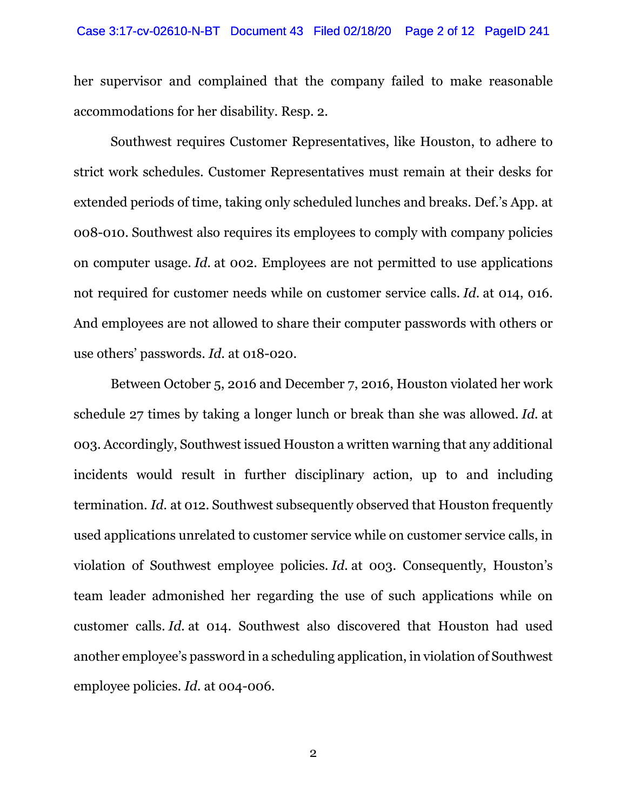her supervisor and complained that the company failed to make reasonable accommodations for her disability. Resp. 2.

Southwest requires Customer Representatives, like Houston, to adhere to strict work schedules. Customer Representatives must remain at their desks for extended periods of time, taking only scheduled lunches and breaks. Def.'s App. at 008-010. Southwest also requires its employees to comply with company policies on computer usage. *Id.* at 002. Employees are not permitted to use applications not required for customer needs while on customer service calls. *Id.* at 014, 016. And employees are not allowed to share their computer passwords with others or use others' passwords. *Id.* at 018-020.

Between October 5, 2016 and December 7, 2016, Houston violated her work schedule 27 times by taking a longer lunch or break than she was allowed. *Id.* at 003. Accordingly, Southwest issued Houston a written warning that any additional incidents would result in further disciplinary action, up to and including termination. *Id.* at 012. Southwest subsequently observed that Houston frequently used applications unrelated to customer service while on customer service calls, in violation of Southwest employee policies. *Id.* at 003. Consequently, Houston's team leader admonished her regarding the use of such applications while on customer calls. *Id.* at 014. Southwest also discovered that Houston had used another employee's password in a scheduling application, in violation of Southwest employee policies. *Id.* at 004-006.

2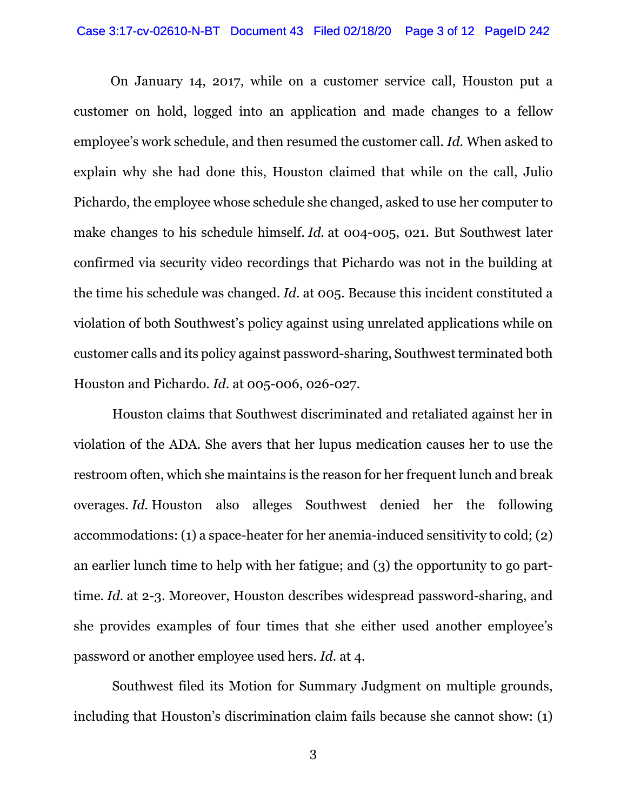On January 14, 2017, while on a customer service call, Houston put a customer on hold, logged into an application and made changes to a fellow employee's work schedule, and then resumed the customer call. *Id.* When asked to explain why she had done this, Houston claimed that while on the call, Julio Pichardo, the employee whose schedule she changed, asked to use her computer to make changes to his schedule himself. *Id.* at 004-005, 021. But Southwest later confirmed via security video recordings that Pichardo was not in the building at the time his schedule was changed. *Id.* at 005. Because this incident constituted a violation of both Southwest's policy against using unrelated applications while on customer calls and its policy against password-sharing, Southwest terminated both Houston and Pichardo. *Id.* at 005-006, 026-027.

 Houston claims that Southwest discriminated and retaliated against her in violation of the ADA. She avers that her lupus medication causes her to use the restroom often, which she maintains is the reason for her frequent lunch and break overages. *Id.* Houston also alleges Southwest denied her the following accommodations: (1) a space-heater for her anemia-induced sensitivity to cold; (2) an earlier lunch time to help with her fatigue; and (3) the opportunity to go parttime. *Id.* at 2-3. Moreover, Houston describes widespread password-sharing, and she provides examples of four times that she either used another employee's password or another employee used hers. *Id.* at 4.

 Southwest filed its Motion for Summary Judgment on multiple grounds, including that Houston's discrimination claim fails because she cannot show: (1)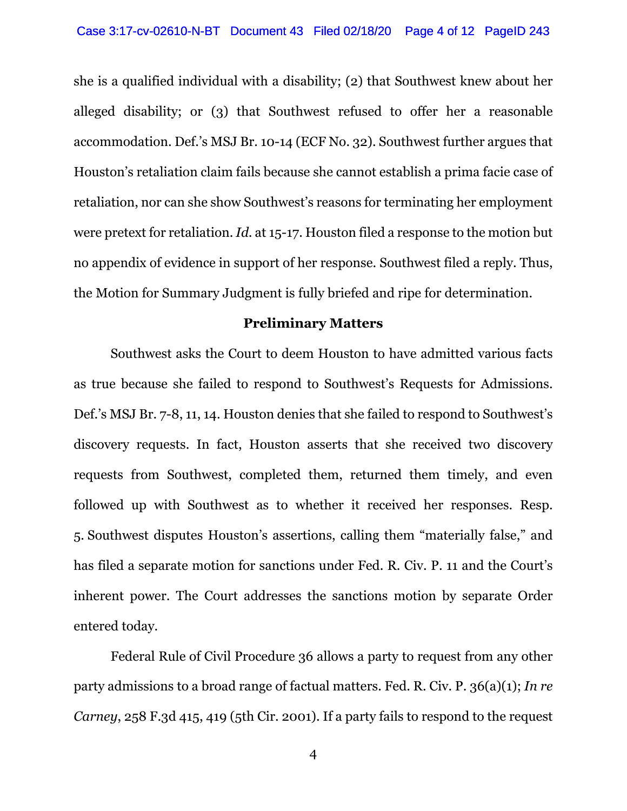she is a qualified individual with a disability; (2) that Southwest knew about her alleged disability; or (3) that Southwest refused to offer her a reasonable accommodation. Def.'s MSJ Br. 10-14 (ECF No. 32). Southwest further argues that Houston's retaliation claim fails because she cannot establish a prima facie case of retaliation, nor can she show Southwest's reasons for terminating her employment were pretext for retaliation. *Id.* at 15-17. Houston filed a response to the motion but no appendix of evidence in support of her response. Southwest filed a reply. Thus, the Motion for Summary Judgment is fully briefed and ripe for determination.

#### **Preliminary Matters**

Southwest asks the Court to deem Houston to have admitted various facts as true because she failed to respond to Southwest's Requests for Admissions. Def.'s MSJ Br. 7-8, 11, 14. Houston denies that she failed to respond to Southwest's discovery requests. In fact, Houston asserts that she received two discovery requests from Southwest, completed them, returned them timely, and even followed up with Southwest as to whether it received her responses. Resp. 5. Southwest disputes Houston's assertions, calling them "materially false," and has filed a separate motion for sanctions under Fed. R. Civ. P. 11 and the Court's inherent power. The Court addresses the sanctions motion by separate Order entered today.

Federal Rule of Civil Procedure 36 allows a party to request from any other party admissions to a broad range of factual matters. Fed. R. Civ. P. 36(a)(1); *In re Carney*, 258 F.3d 415, 419 (5th Cir. 2001). If a party fails to respond to the request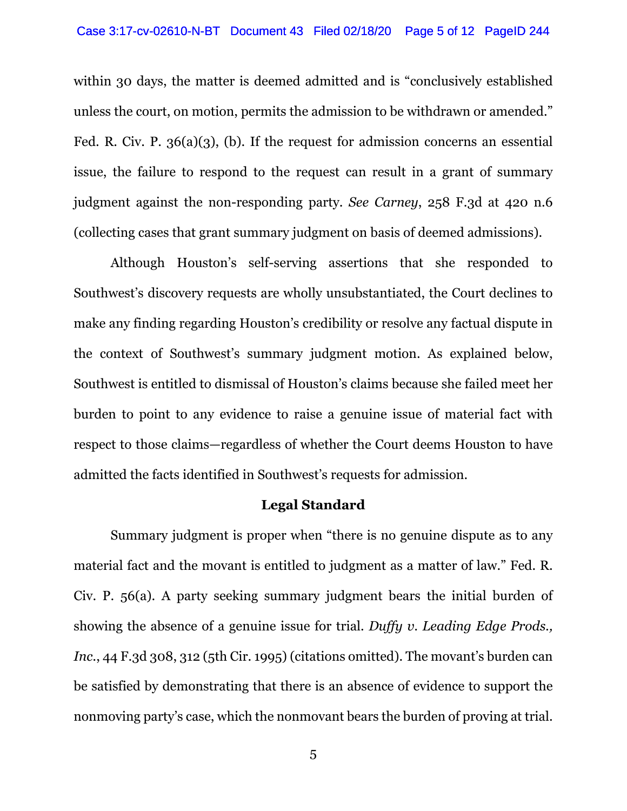within 30 days, the matter is deemed admitted and is "conclusively established unless the court, on motion, permits the admission to be withdrawn or amended." Fed. R. Civ. P. 36(a)(3), (b). If the request for admission concerns an essential issue, the failure to respond to the request can result in a grant of summary judgment against the non-responding party. *See Carney*, 258 F.3d at 420 n.6 (collecting cases that grant summary judgment on basis of deemed admissions).

Although Houston's self-serving assertions that she responded to Southwest's discovery requests are wholly unsubstantiated, the Court declines to make any finding regarding Houston's credibility or resolve any factual dispute in the context of Southwest's summary judgment motion. As explained below, Southwest is entitled to dismissal of Houston's claims because she failed meet her burden to point to any evidence to raise a genuine issue of material fact with respect to those claims—regardless of whether the Court deems Houston to have admitted the facts identified in Southwest's requests for admission.

#### **Legal Standard**

Summary judgment is proper when "there is no genuine dispute as to any material fact and the movant is entitled to judgment as a matter of law." Fed. R. Civ. P. 56(a). A party seeking summary judgment bears the initial burden of showing the absence of a genuine issue for trial. *Duffy v. Leading Edge Prods., Inc.*, 44 F.3d 308, 312 (5th Cir. 1995) (citations omitted). The movant's burden can be satisfied by demonstrating that there is an absence of evidence to support the nonmoving party's case, which the nonmovant bears the burden of proving at trial.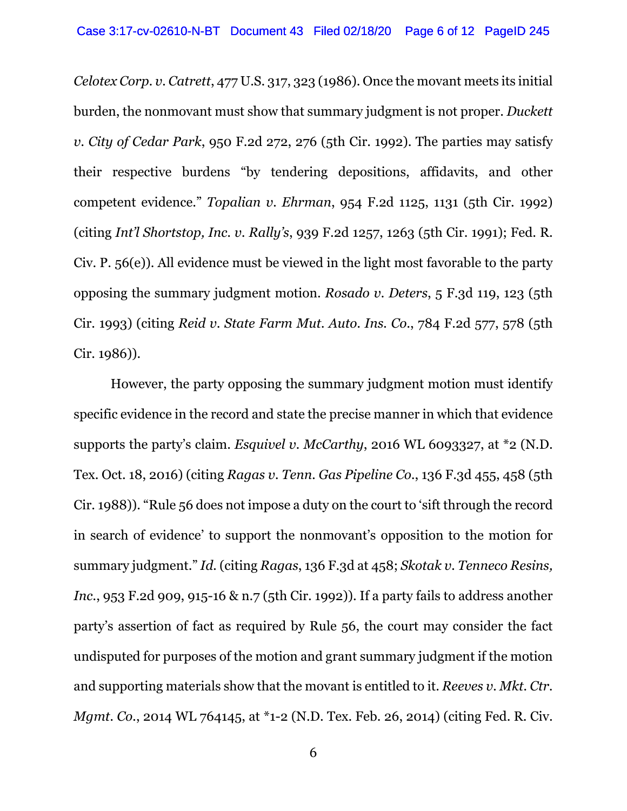*Celotex Corp. v. Catrett*, 477 U.S. 317, 323 (1986). Once the movant meets its initial burden, the nonmovant must show that summary judgment is not proper. *Duckett v. City of Cedar Park*, 950 F.2d 272, 276 (5th Cir. 1992). The parties may satisfy their respective burdens "by tendering depositions, affidavits, and other competent evidence." *Topalian v. Ehrman*, 954 F.2d 1125, 1131 (5th Cir. 1992) (citing *Int'l Shortstop, Inc. v. Rally's*, 939 F.2d 1257, 1263 (5th Cir. 1991); Fed. R. Civ. P. 56(e)). All evidence must be viewed in the light most favorable to the party opposing the summary judgment motion. *Rosado v. Deters*, 5 F.3d 119, 123 (5th Cir. 1993) (citing *Reid v. State Farm Mut. Auto. Ins. Co.*, 784 F.2d 577, 578 (5th Cir. 1986)).

However, the party opposing the summary judgment motion must identify specific evidence in the record and state the precise manner in which that evidence supports the party's claim. *Esquivel v. McCarthy*, 2016 WL 6093327, at \*2 (N.D. Tex. Oct. 18, 2016) (citing *Ragas v. Tenn. Gas Pipeline Co.*, 136 F.3d 455, 458 (5th Cir. 1988)). "Rule 56 does not impose a duty on the court to 'sift through the record in search of evidence' to support the nonmovant's opposition to the motion for summary judgment." *Id.* (citing *Ragas*, 136 F.3d at 458; *Skotak v. Tenneco Resins, Inc.*, 953 F.2d 909, 915-16 & n.7 (5th Cir. 1992)). If a party fails to address another party's assertion of fact as required by Rule 56, the court may consider the fact undisputed for purposes of the motion and grant summary judgment if the motion and supporting materials show that the movant is entitled to it. *Reeves v. Mkt. Ctr. Mgmt. Co.*, 2014 WL 764145, at \*1-2 (N.D. Tex. Feb. 26, 2014) (citing Fed. R. Civ.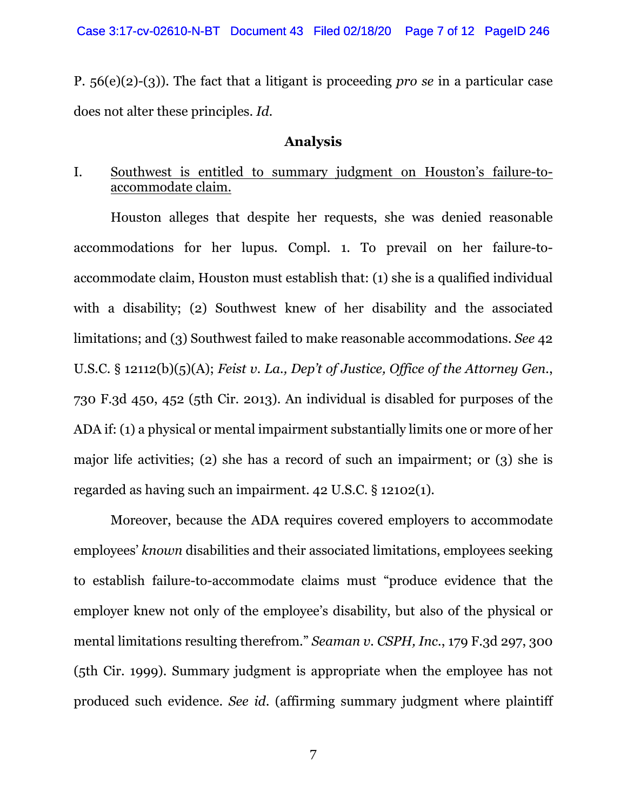P. 56(e)(2)-(3)). The fact that a litigant is proceeding *pro se* in a particular case does not alter these principles. *Id.*

## **Analysis**

# I. Southwest is entitled to summary judgment on Houston's failure-toaccommodate claim.

Houston alleges that despite her requests, she was denied reasonable accommodations for her lupus. Compl. 1. To prevail on her failure-toaccommodate claim, Houston must establish that: (1) she is a qualified individual with a disability; (2) Southwest knew of her disability and the associated limitations; and (3) Southwest failed to make reasonable accommodations. *See* 42 U.S.C. § 12112(b)(5)(A); *Feist v. La., Dep't of Justice, Office of the Attorney Gen.*, 730 F.3d 450, 452 (5th Cir. 2013). An individual is disabled for purposes of the ADA if: (1) a physical or mental impairment substantially limits one or more of her major life activities; (2) she has a record of such an impairment; or (3) she is regarded as having such an impairment. 42 U.S.C. § 12102(1).

Moreover, because the ADA requires covered employers to accommodate employees' *known* disabilities and their associated limitations, employees seeking to establish failure-to-accommodate claims must "produce evidence that the employer knew not only of the employee's disability, but also of the physical or mental limitations resulting therefrom." *Seaman v. CSPH, Inc.*, 179 F.3d 297, 300 (5th Cir. 1999). Summary judgment is appropriate when the employee has not produced such evidence. *See id*. (affirming summary judgment where plaintiff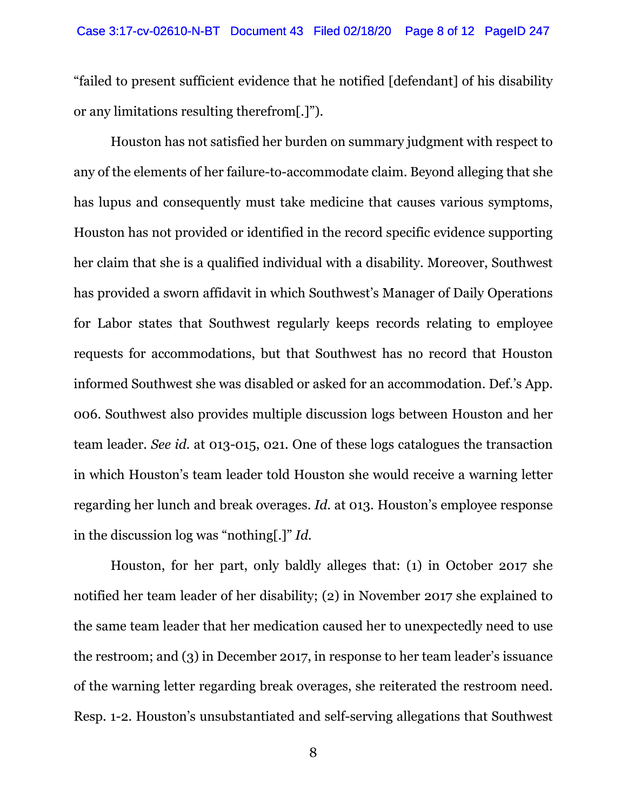"failed to present sufficient evidence that he notified [defendant] of his disability or any limitations resulting therefrom[.]").

Houston has not satisfied her burden on summary judgment with respect to any of the elements of her failure-to-accommodate claim. Beyond alleging that she has lupus and consequently must take medicine that causes various symptoms, Houston has not provided or identified in the record specific evidence supporting her claim that she is a qualified individual with a disability. Moreover, Southwest has provided a sworn affidavit in which Southwest's Manager of Daily Operations for Labor states that Southwest regularly keeps records relating to employee requests for accommodations, but that Southwest has no record that Houston informed Southwest she was disabled or asked for an accommodation. Def.'s App. 006. Southwest also provides multiple discussion logs between Houston and her team leader. *See id.* at 013-015, 021. One of these logs catalogues the transaction in which Houston's team leader told Houston she would receive a warning letter regarding her lunch and break overages. *Id.* at 013. Houston's employee response in the discussion log was "nothing[.]" *Id.* 

Houston, for her part, only baldly alleges that: (1) in October 2017 she notified her team leader of her disability; (2) in November 2017 she explained to the same team leader that her medication caused her to unexpectedly need to use the restroom; and (3) in December 2017, in response to her team leader's issuance of the warning letter regarding break overages, she reiterated the restroom need. Resp. 1-2. Houston's unsubstantiated and self-serving allegations that Southwest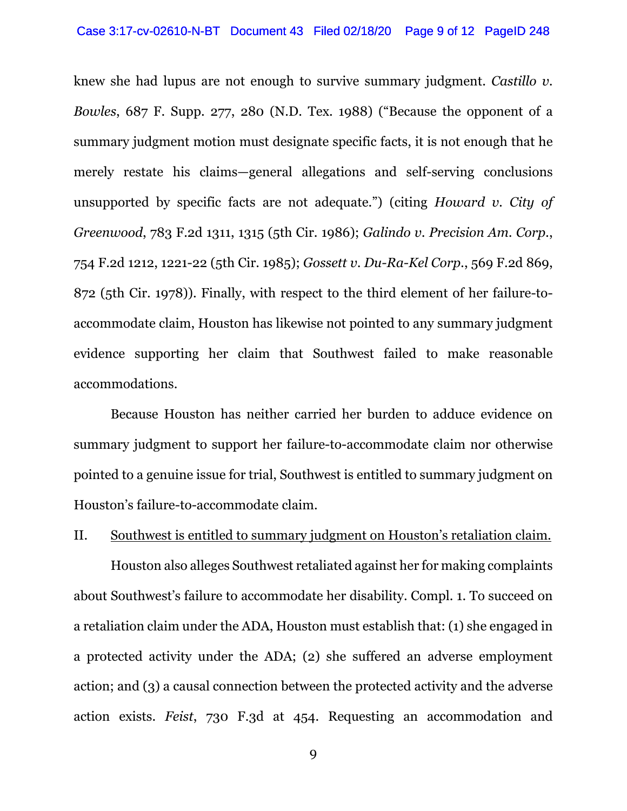knew she had lupus are not enough to survive summary judgment. *Castillo v. Bowles*, 687 F. Supp. 277, 280 (N.D. Tex. 1988) ("Because the opponent of a summary judgment motion must designate specific facts, it is not enough that he merely restate his claims—general allegations and self-serving conclusions unsupported by specific facts are not adequate.") (citing *Howard v. City of Greenwood*, 783 F.2d 1311, 1315 (5th Cir. 1986); *Galindo v. Precision Am. Corp.*, 754 F.2d 1212, 1221-22 (5th Cir. 1985); *Gossett v. Du-Ra-Kel Corp.*, 569 F.2d 869, 872 (5th Cir. 1978)). Finally, with respect to the third element of her failure-toaccommodate claim, Houston has likewise not pointed to any summary judgment evidence supporting her claim that Southwest failed to make reasonable accommodations.

Because Houston has neither carried her burden to adduce evidence on summary judgment to support her failure-to-accommodate claim nor otherwise pointed to a genuine issue for trial, Southwest is entitled to summary judgment on Houston's failure-to-accommodate claim.

# II. Southwest is entitled to summary judgment on Houston's retaliation claim.

Houston also alleges Southwest retaliated against her for making complaints about Southwest's failure to accommodate her disability. Compl. 1. To succeed on a retaliation claim under the ADA, Houston must establish that: (1) she engaged in a protected activity under the ADA; (2) she suffered an adverse employment action; and (3) a causal connection between the protected activity and the adverse action exists. *Feist*, 730 F.3d at 454. Requesting an accommodation and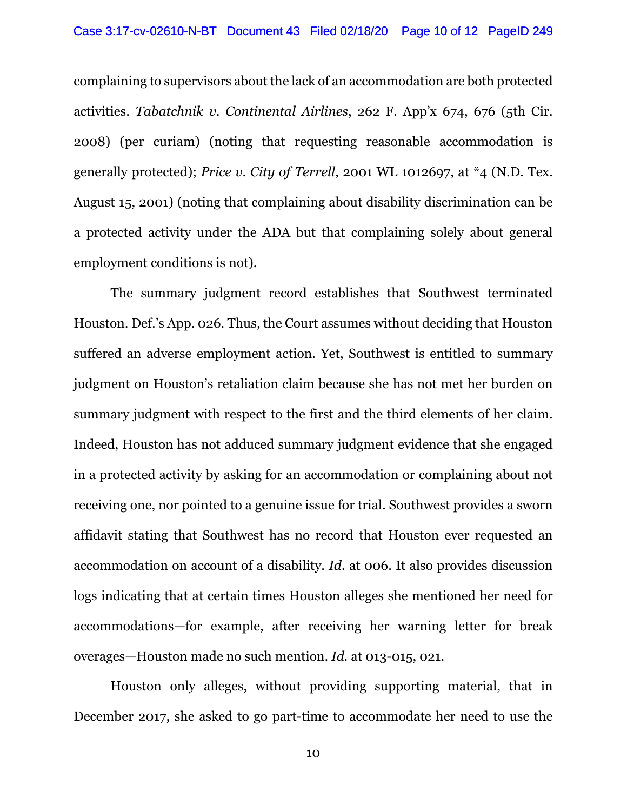complaining to supervisors about the lack of an accommodation are both protected activities. *Tabatchnik v. Continental Airlines*, 262 F. App'x 674, 676 (5th Cir. 2008) (per curiam) (noting that requesting reasonable accommodation is generally protected); *Price v. City of Terrell*, 2001 WL 1012697, at \*4 (N.D. Tex. August 15, 2001) (noting that complaining about disability discrimination can be a protected activity under the ADA but that complaining solely about general employment conditions is not).

The summary judgment record establishes that Southwest terminated Houston. Def.'s App. 026. Thus, the Court assumes without deciding that Houston suffered an adverse employment action. Yet, Southwest is entitled to summary judgment on Houston's retaliation claim because she has not met her burden on summary judgment with respect to the first and the third elements of her claim. Indeed, Houston has not adduced summary judgment evidence that she engaged in a protected activity by asking for an accommodation or complaining about not receiving one, nor pointed to a genuine issue for trial. Southwest provides a sworn affidavit stating that Southwest has no record that Houston ever requested an accommodation on account of a disability. *Id.* at 006. It also provides discussion logs indicating that at certain times Houston alleges she mentioned her need for accommodations—for example, after receiving her warning letter for break overages—Houston made no such mention. *Id.* at 013-015, 021.

Houston only alleges, without providing supporting material, that in December 2017, she asked to go part-time to accommodate her need to use the

10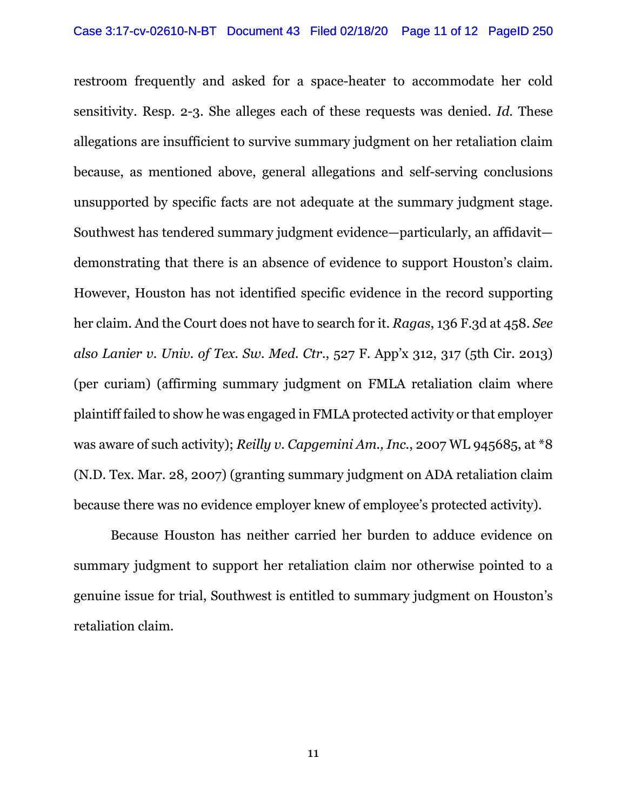restroom frequently and asked for a space-heater to accommodate her cold sensitivity. Resp. 2-3. She alleges each of these requests was denied. *Id.* These allegations are insufficient to survive summary judgment on her retaliation claim because, as mentioned above, general allegations and self-serving conclusions unsupported by specific facts are not adequate at the summary judgment stage. Southwest has tendered summary judgment evidence—particularly, an affidavit demonstrating that there is an absence of evidence to support Houston's claim. However, Houston has not identified specific evidence in the record supporting her claim. And the Court does not have to search for it. *Ragas*, 136 F.3d at 458. *See also Lanier v. Univ. of Tex. Sw. Med. Ctr.*, 527 F. App'x 312, 317 (5th Cir. 2013) (per curiam) (affirming summary judgment on FMLA retaliation claim where plaintiff failed to show he was engaged in FMLA protected activity or that employer was aware of such activity); *Reilly v. Capgemini Am., Inc.*, 2007 WL 945685, at \*8 (N.D. Tex. Mar. 28, 2007) (granting summary judgment on ADA retaliation claim because there was no evidence employer knew of employee's protected activity).

Because Houston has neither carried her burden to adduce evidence on summary judgment to support her retaliation claim nor otherwise pointed to a genuine issue for trial, Southwest is entitled to summary judgment on Houston's retaliation claim.